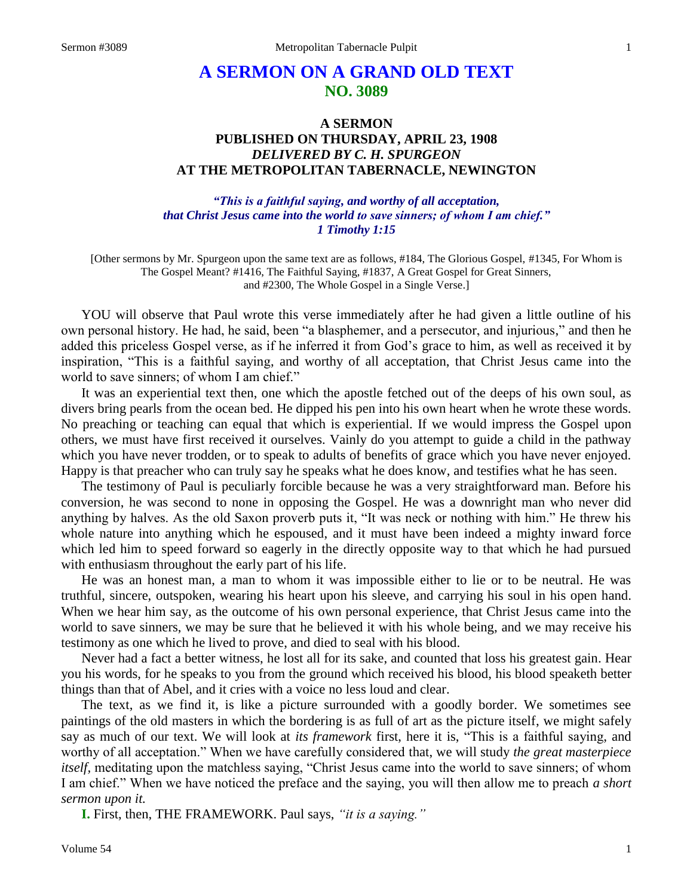# **A SERMON ON A GRAND OLD TEXT NO. 3089**

## **A SERMON PUBLISHED ON THURSDAY, APRIL 23, 1908** *DELIVERED BY C. H. SPURGEON* **AT THE METROPOLITAN TABERNACLE, NEWINGTON**

#### *"This is a faithful saying, and worthy of all acceptation, that Christ Jesus came into the world to save sinners; of whom I am chief." 1 Timothy 1:15*

[Other sermons by Mr. Spurgeon upon the same text are as follows, #184, The Glorious Gospel, #1345, For Whom is The Gospel Meant? #1416, The Faithful Saying, #1837, A Great Gospel for Great Sinners, and #2300, The Whole Gospel in a Single Verse.]

YOU will observe that Paul wrote this verse immediately after he had given a little outline of his own personal history. He had, he said, been "a blasphemer, and a persecutor, and injurious," and then he added this priceless Gospel verse, as if he inferred it from God's grace to him, as well as received it by inspiration, "This is a faithful saying, and worthy of all acceptation, that Christ Jesus came into the world to save sinners; of whom I am chief."

It was an experiential text then, one which the apostle fetched out of the deeps of his own soul, as divers bring pearls from the ocean bed. He dipped his pen into his own heart when he wrote these words. No preaching or teaching can equal that which is experiential. If we would impress the Gospel upon others, we must have first received it ourselves. Vainly do you attempt to guide a child in the pathway which you have never trodden, or to speak to adults of benefits of grace which you have never enjoyed. Happy is that preacher who can truly say he speaks what he does know, and testifies what he has seen.

The testimony of Paul is peculiarly forcible because he was a very straightforward man. Before his conversion, he was second to none in opposing the Gospel. He was a downright man who never did anything by halves. As the old Saxon proverb puts it, "It was neck or nothing with him." He threw his whole nature into anything which he espoused, and it must have been indeed a mighty inward force which led him to speed forward so eagerly in the directly opposite way to that which he had pursued with enthusiasm throughout the early part of his life.

He was an honest man, a man to whom it was impossible either to lie or to be neutral. He was truthful, sincere, outspoken, wearing his heart upon his sleeve, and carrying his soul in his open hand. When we hear him say, as the outcome of his own personal experience, that Christ Jesus came into the world to save sinners, we may be sure that he believed it with his whole being, and we may receive his testimony as one which he lived to prove, and died to seal with his blood.

Never had a fact a better witness, he lost all for its sake, and counted that loss his greatest gain. Hear you his words, for he speaks to you from the ground which received his blood, his blood speaketh better things than that of Abel, and it cries with a voice no less loud and clear.

The text, as we find it, is like a picture surrounded with a goodly border. We sometimes see paintings of the old masters in which the bordering is as full of art as the picture itself, we might safely say as much of our text. We will look at *its framework* first, here it is, "This is a faithful saying, and worthy of all acceptation." When we have carefully considered that, we will study *the great masterpiece itself,* meditating upon the matchless saying, "Christ Jesus came into the world to save sinners; of whom I am chief." When we have noticed the preface and the saying, you will then allow me to preach *a short sermon upon it.* 

**I.** First, then, THE FRAMEWORK. Paul says, *"it is a saying."*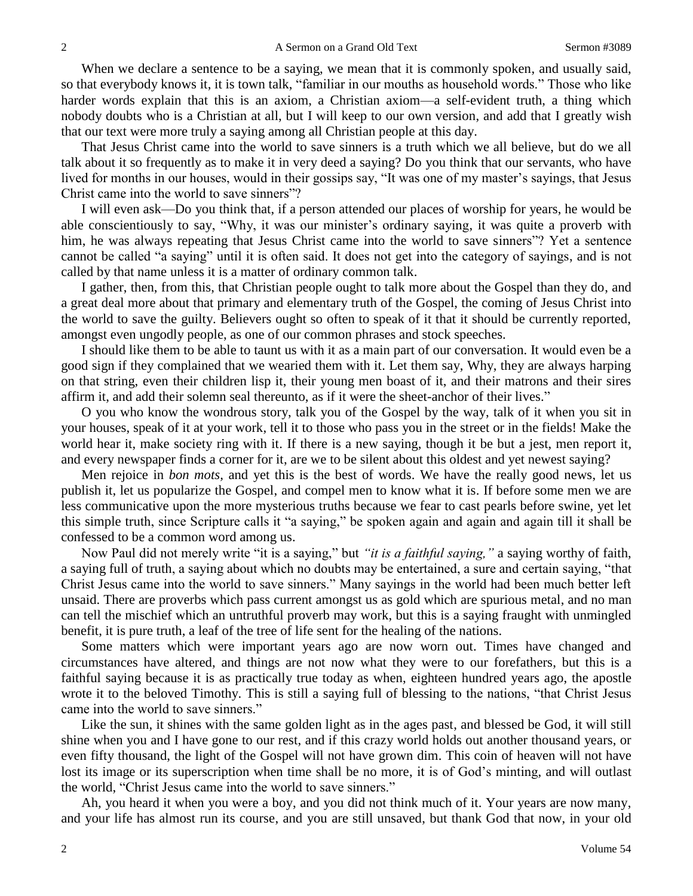When we declare a sentence to be a saying, we mean that it is commonly spoken, and usually said, so that everybody knows it, it is town talk, "familiar in our mouths as household words." Those who like harder words explain that this is an axiom, a Christian axiom—a self-evident truth, a thing which nobody doubts who is a Christian at all, but I will keep to our own version, and add that I greatly wish that our text were more truly a saying among all Christian people at this day.

That Jesus Christ came into the world to save sinners is a truth which we all believe, but do we all talk about it so frequently as to make it in very deed a saying? Do you think that our servants, who have lived for months in our houses, would in their gossips say, "It was one of my master's sayings, that Jesus Christ came into the world to save sinners"?

I will even ask—Do you think that, if a person attended our places of worship for years, he would be able conscientiously to say, "Why, it was our minister's ordinary saying, it was quite a proverb with him, he was always repeating that Jesus Christ came into the world to save sinners"? Yet a sentence cannot be called "a saying" until it is often said. It does not get into the category of sayings, and is not called by that name unless it is a matter of ordinary common talk.

I gather, then, from this, that Christian people ought to talk more about the Gospel than they do, and a great deal more about that primary and elementary truth of the Gospel, the coming of Jesus Christ into the world to save the guilty. Believers ought so often to speak of it that it should be currently reported, amongst even ungodly people, as one of our common phrases and stock speeches.

I should like them to be able to taunt us with it as a main part of our conversation. It would even be a good sign if they complained that we wearied them with it. Let them say, Why, they are always harping on that string, even their children lisp it, their young men boast of it, and their matrons and their sires affirm it, and add their solemn seal thereunto, as if it were the sheet-anchor of their lives."

O you who know the wondrous story, talk you of the Gospel by the way, talk of it when you sit in your houses, speak of it at your work, tell it to those who pass you in the street or in the fields! Make the world hear it, make society ring with it. If there is a new saying, though it be but a jest, men report it, and every newspaper finds a corner for it, are we to be silent about this oldest and yet newest saying?

Men rejoice in *bon mots,* and yet this is the best of words. We have the really good news, let us publish it, let us popularize the Gospel, and compel men to know what it is. If before some men we are less communicative upon the more mysterious truths because we fear to cast pearls before swine, yet let this simple truth, since Scripture calls it "a saying," be spoken again and again and again till it shall be confessed to be a common word among us.

Now Paul did not merely write "it is a saying," but *"it is a faithful saying,"* a saying worthy of faith, a saying full of truth, a saying about which no doubts may be entertained, a sure and certain saying, "that Christ Jesus came into the world to save sinners." Many sayings in the world had been much better left unsaid. There are proverbs which pass current amongst us as gold which are spurious metal, and no man can tell the mischief which an untruthful proverb may work, but this is a saying fraught with unmingled benefit, it is pure truth, a leaf of the tree of life sent for the healing of the nations.

Some matters which were important years ago are now worn out. Times have changed and circumstances have altered, and things are not now what they were to our forefathers, but this is a faithful saying because it is as practically true today as when, eighteen hundred years ago, the apostle wrote it to the beloved Timothy. This is still a saying full of blessing to the nations, "that Christ Jesus came into the world to save sinners."

Like the sun, it shines with the same golden light as in the ages past, and blessed be God, it will still shine when you and I have gone to our rest, and if this crazy world holds out another thousand years, or even fifty thousand, the light of the Gospel will not have grown dim. This coin of heaven will not have lost its image or its superscription when time shall be no more, it is of God's minting, and will outlast the world, "Christ Jesus came into the world to save sinners."

Ah, you heard it when you were a boy, and you did not think much of it. Your years are now many, and your life has almost run its course, and you are still unsaved, but thank God that now, in your old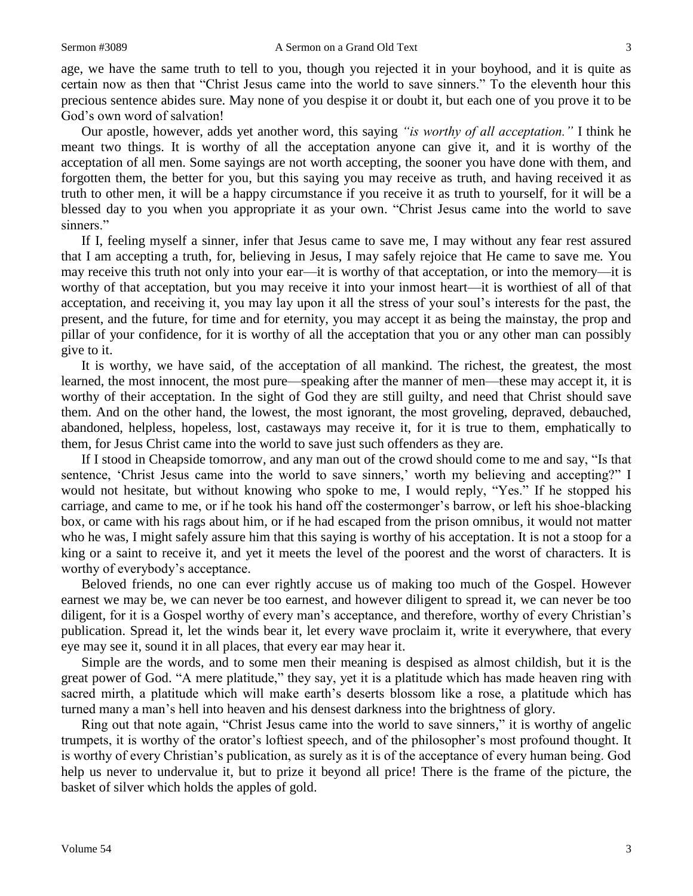age, we have the same truth to tell to you, though you rejected it in your boyhood, and it is quite as certain now as then that "Christ Jesus came into the world to save sinners." To the eleventh hour this precious sentence abides sure. May none of you despise it or doubt it, but each one of you prove it to be God's own word of salvation!

Our apostle, however, adds yet another word, this saying *"is worthy of all acceptation."* I think he meant two things. It is worthy of all the acceptation anyone can give it, and it is worthy of the acceptation of all men. Some sayings are not worth accepting, the sooner you have done with them, and forgotten them, the better for you, but this saying you may receive as truth, and having received it as truth to other men, it will be a happy circumstance if you receive it as truth to yourself, for it will be a blessed day to you when you appropriate it as your own. "Christ Jesus came into the world to save sinners."

If I, feeling myself a sinner, infer that Jesus came to save me, I may without any fear rest assured that I am accepting a truth, for, believing in Jesus, I may safely rejoice that He came to save me*.* You may receive this truth not only into your ear—it is worthy of that acceptation, or into the memory—it is worthy of that acceptation, but you may receive it into your inmost heart—it is worthiest of all of that acceptation, and receiving it, you may lay upon it all the stress of your soul's interests for the past, the present, and the future, for time and for eternity, you may accept it as being the mainstay, the prop and pillar of your confidence, for it is worthy of all the acceptation that you or any other man can possibly give to it.

It is worthy, we have said, of the acceptation of all mankind. The richest, the greatest, the most learned, the most innocent, the most pure—speaking after the manner of men—these may accept it, it is worthy of their acceptation. In the sight of God they are still guilty, and need that Christ should save them. And on the other hand, the lowest, the most ignorant, the most groveling, depraved, debauched, abandoned, helpless, hopeless, lost, castaways may receive it, for it is true to them, emphatically to them, for Jesus Christ came into the world to save just such offenders as they are.

If I stood in Cheapside tomorrow, and any man out of the crowd should come to me and say, "Is that sentence, 'Christ Jesus came into the world to save sinners,' worth my believing and accepting?" I would not hesitate, but without knowing who spoke to me, I would reply, "Yes." If he stopped his carriage, and came to me, or if he took his hand off the costermonger's barrow, or left his shoe-blacking box, or came with his rags about him, or if he had escaped from the prison omnibus, it would not matter who he was, I might safely assure him that this saying is worthy of his acceptation. It is not a stoop for a king or a saint to receive it, and yet it meets the level of the poorest and the worst of characters. It is worthy of everybody's acceptance.

Beloved friends, no one can ever rightly accuse us of making too much of the Gospel. However earnest we may be, we can never be too earnest, and however diligent to spread it, we can never be too diligent, for it is a Gospel worthy of every man's acceptance, and therefore, worthy of every Christian's publication. Spread it, let the winds bear it, let every wave proclaim it, write it everywhere, that every eye may see it, sound it in all places, that every ear may hear it.

Simple are the words, and to some men their meaning is despised as almost childish, but it is the great power of God. "A mere platitude," they say, yet it is a platitude which has made heaven ring with sacred mirth, a platitude which will make earth's deserts blossom like a rose, a platitude which has turned many a man's hell into heaven and his densest darkness into the brightness of glory.

Ring out that note again, "Christ Jesus came into the world to save sinners," it is worthy of angelic trumpets, it is worthy of the orator's loftiest speech, and of the philosopher's most profound thought. It is worthy of every Christian's publication, as surely as it is of the acceptance of every human being. God help us never to undervalue it, but to prize it beyond all price! There is the frame of the picture, the basket of silver which holds the apples of gold.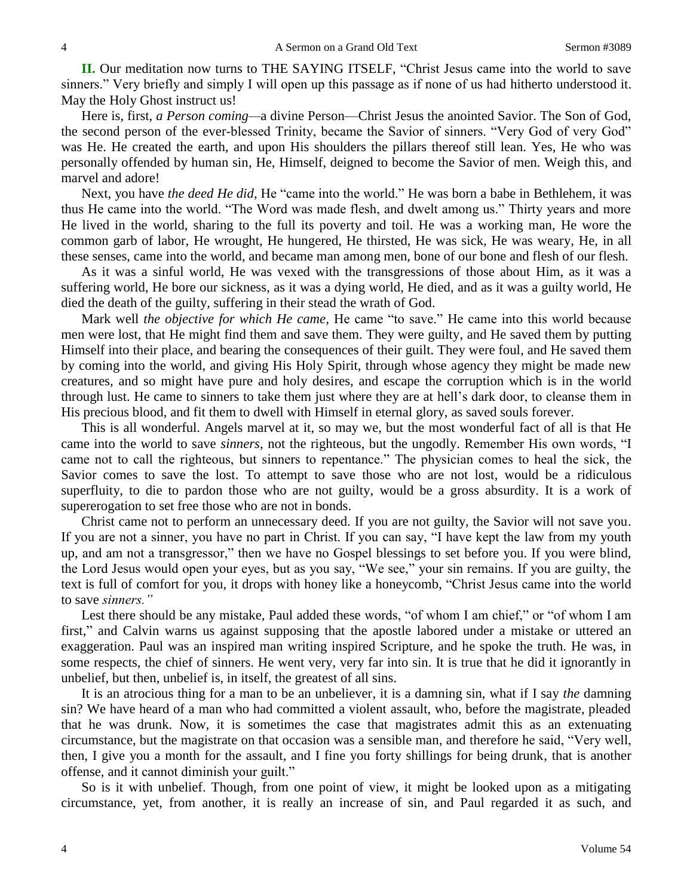**II.** Our meditation now turns to THE SAYING ITSELF, "Christ Jesus came into the world to save sinners." Very briefly and simply I will open up this passage as if none of us had hitherto understood it. May the Holy Ghost instruct us!

Here is, first, *a Person coming—*a divine Person—Christ Jesus the anointed Savior. The Son of God, the second person of the ever-blessed Trinity, became the Savior of sinners. "Very God of very God" was He. He created the earth, and upon His shoulders the pillars thereof still lean. Yes, He who was personally offended by human sin, He, Himself, deigned to become the Savior of men. Weigh this, and marvel and adore!

Next, you have *the deed He did,* He "came into the world." He was born a babe in Bethlehem, it was thus He came into the world. "The Word was made flesh, and dwelt among us." Thirty years and more He lived in the world, sharing to the full its poverty and toil. He was a working man, He wore the common garb of labor, He wrought, He hungered, He thirsted, He was sick, He was weary, He, in all these senses, came into the world, and became man among men, bone of our bone and flesh of our flesh.

As it was a sinful world, He was vexed with the transgressions of those about Him, as it was a suffering world, He bore our sickness, as it was a dying world, He died, and as it was a guilty world, He died the death of the guilty, suffering in their stead the wrath of God.

Mark well *the objective for which He came*, He came "to save." He came into this world because men were lost, that He might find them and save them. They were guilty, and He saved them by putting Himself into their place, and bearing the consequences of their guilt. They were foul, and He saved them by coming into the world, and giving His Holy Spirit, through whose agency they might be made new creatures, and so might have pure and holy desires, and escape the corruption which is in the world through lust. He came to sinners to take them just where they are at hell's dark door, to cleanse them in His precious blood, and fit them to dwell with Himself in eternal glory, as saved souls forever.

This is all wonderful. Angels marvel at it, so may we, but the most wonderful fact of all is that He came into the world to save *sinners,* not the righteous, but the ungodly. Remember His own words, "I came not to call the righteous, but sinners to repentance." The physician comes to heal the sick, the Savior comes to save the lost. To attempt to save those who are not lost, would be a ridiculous superfluity, to die to pardon those who are not guilty, would be a gross absurdity. It is a work of supererogation to set free those who are not in bonds.

Christ came not to perform an unnecessary deed. If you are not guilty, the Savior will not save you. If you are not a sinner, you have no part in Christ. If you can say, "I have kept the law from my youth up, and am not a transgressor," then we have no Gospel blessings to set before you. If you were blind, the Lord Jesus would open your eyes, but as you say, "We see," your sin remains. If you are guilty, the text is full of comfort for you, it drops with honey like a honeycomb, "Christ Jesus came into the world to save *sinners."* 

Lest there should be any mistake, Paul added these words, "of whom I am chief," or "of whom I am first," and Calvin warns us against supposing that the apostle labored under a mistake or uttered an exaggeration. Paul was an inspired man writing inspired Scripture, and he spoke the truth. He was, in some respects, the chief of sinners. He went very, very far into sin. It is true that he did it ignorantly in unbelief, but then, unbelief is, in itself, the greatest of all sins.

It is an atrocious thing for a man to be an unbeliever, it is a damning sin, what if I say *the* damning sin? We have heard of a man who had committed a violent assault, who, before the magistrate, pleaded that he was drunk. Now, it is sometimes the case that magistrates admit this as an extenuating circumstance, but the magistrate on that occasion was a sensible man, and therefore he said, "Very well, then, I give you a month for the assault, and I fine you forty shillings for being drunk, that is another offense, and it cannot diminish your guilt."

So is it with unbelief. Though, from one point of view, it might be looked upon as a mitigating circumstance, yet, from another, it is really an increase of sin, and Paul regarded it as such, and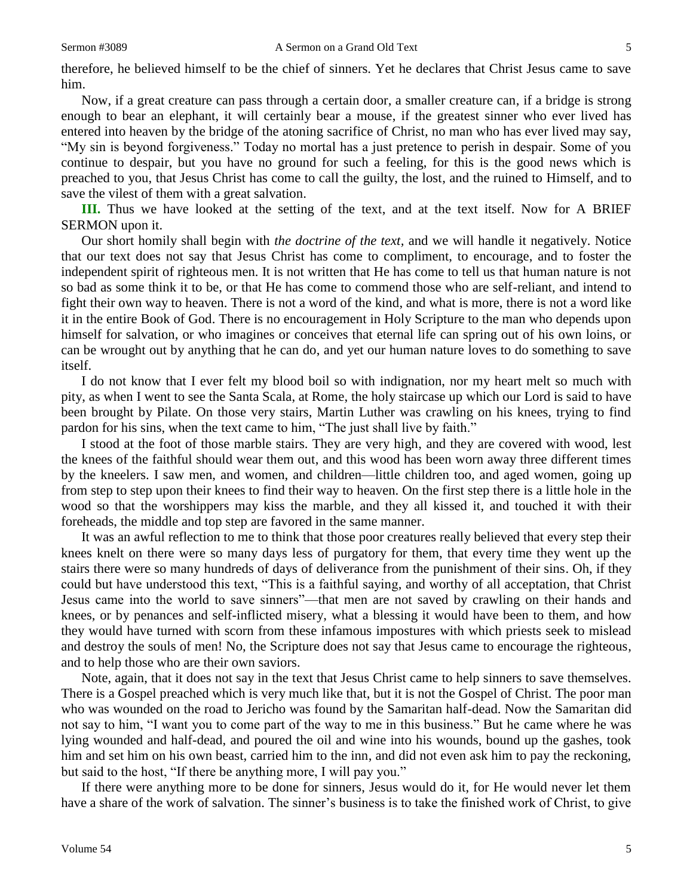therefore, he believed himself to be the chief of sinners. Yet he declares that Christ Jesus came to save him.

Now, if a great creature can pass through a certain door, a smaller creature can, if a bridge is strong enough to bear an elephant, it will certainly bear a mouse, if the greatest sinner who ever lived has entered into heaven by the bridge of the atoning sacrifice of Christ, no man who has ever lived may say, "My sin is beyond forgiveness." Today no mortal has a just pretence to perish in despair. Some of you continue to despair, but you have no ground for such a feeling, for this is the good news which is preached to you, that Jesus Christ has come to call the guilty, the lost, and the ruined to Himself, and to save the vilest of them with a great salvation.

**III.** Thus we have looked at the setting of the text, and at the text itself. Now for A BRIEF SERMON upon it.

Our short homily shall begin with *the doctrine of the text,* and we will handle it negatively. Notice that our text does not say that Jesus Christ has come to compliment, to encourage, and to foster the independent spirit of righteous men. It is not written that He has come to tell us that human nature is not so bad as some think it to be, or that He has come to commend those who are self-reliant, and intend to fight their own way to heaven. There is not a word of the kind, and what is more, there is not a word like it in the entire Book of God. There is no encouragement in Holy Scripture to the man who depends upon himself for salvation, or who imagines or conceives that eternal life can spring out of his own loins, or can be wrought out by anything that he can do, and yet our human nature loves to do something to save itself.

I do not know that I ever felt my blood boil so with indignation, nor my heart melt so much with pity, as when I went to see the Santa Scala, at Rome, the holy staircase up which our Lord is said to have been brought by Pilate. On those very stairs, Martin Luther was crawling on his knees, trying to find pardon for his sins, when the text came to him, "The just shall live by faith."

I stood at the foot of those marble stairs. They are very high, and they are covered with wood, lest the knees of the faithful should wear them out, and this wood has been worn away three different times by the kneelers. I saw men, and women, and children—little children too, and aged women, going up from step to step upon their knees to find their way to heaven. On the first step there is a little hole in the wood so that the worshippers may kiss the marble, and they all kissed it, and touched it with their foreheads, the middle and top step are favored in the same manner.

It was an awful reflection to me to think that those poor creatures really believed that every step their knees knelt on there were so many days less of purgatory for them, that every time they went up the stairs there were so many hundreds of days of deliverance from the punishment of their sins. Oh, if they could but have understood this text, "This is a faithful saying, and worthy of all acceptation, that Christ Jesus came into the world to save sinners"—that men are not saved by crawling on their hands and knees, or by penances and self-inflicted misery, what a blessing it would have been to them, and how they would have turned with scorn from these infamous impostures with which priests seek to mislead and destroy the souls of men! No, the Scripture does not say that Jesus came to encourage the righteous, and to help those who are their own saviors.

Note, again, that it does not say in the text that Jesus Christ came to help sinners to save themselves. There is a Gospel preached which is very much like that, but it is not the Gospel of Christ. The poor man who was wounded on the road to Jericho was found by the Samaritan half-dead. Now the Samaritan did not say to him, "I want you to come part of the way to me in this business." But he came where he was lying wounded and half-dead, and poured the oil and wine into his wounds, bound up the gashes, took him and set him on his own beast, carried him to the inn, and did not even ask him to pay the reckoning, but said to the host, "If there be anything more, I will pay you."

If there were anything more to be done for sinners, Jesus would do it, for He would never let them have a share of the work of salvation. The sinner's business is to take the finished work of Christ, to give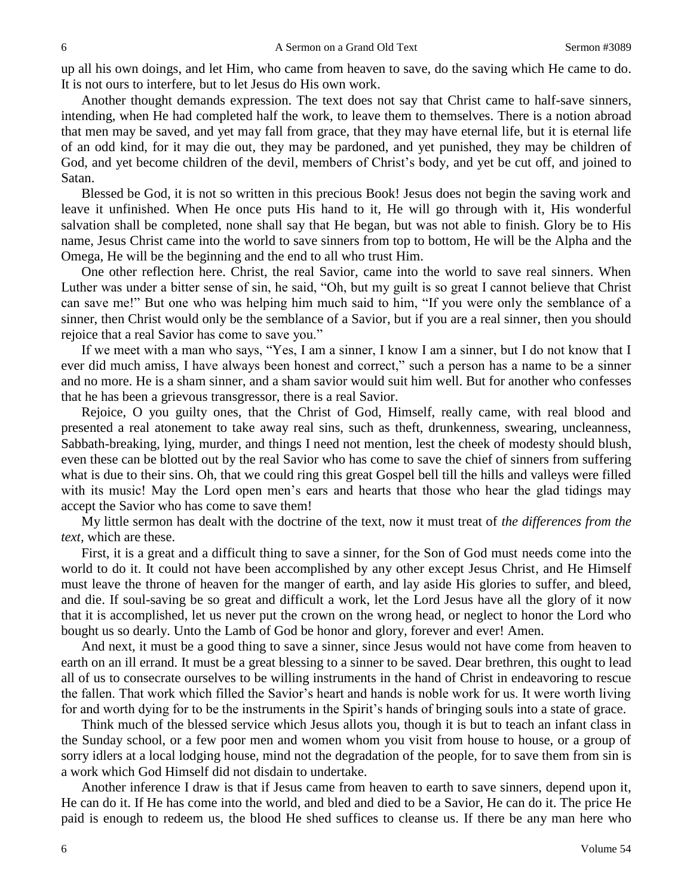up all his own doings, and let Him, who came from heaven to save, do the saving which He came to do. It is not ours to interfere, but to let Jesus do His own work.

Another thought demands expression. The text does not say that Christ came to half-save sinners, intending, when He had completed half the work, to leave them to themselves. There is a notion abroad that men may be saved, and yet may fall from grace, that they may have eternal life, but it is eternal life of an odd kind, for it may die out, they may be pardoned, and yet punished, they may be children of God, and yet become children of the devil, members of Christ's body, and yet be cut off, and joined to Satan.

Blessed be God, it is not so written in this precious Book! Jesus does not begin the saving work and leave it unfinished. When He once puts His hand to it, He will go through with it, His wonderful salvation shall be completed, none shall say that He began, but was not able to finish. Glory be to His name, Jesus Christ came into the world to save sinners from top to bottom, He will be the Alpha and the Omega, He will be the beginning and the end to all who trust Him.

One other reflection here. Christ, the real Savior, came into the world to save real sinners. When Luther was under a bitter sense of sin, he said, "Oh, but my guilt is so great I cannot believe that Christ can save me!" But one who was helping him much said to him, "If you were only the semblance of a sinner, then Christ would only be the semblance of a Savior, but if you are a real sinner, then you should rejoice that a real Savior has come to save you."

If we meet with a man who says, "Yes, I am a sinner, I know I am a sinner, but I do not know that I ever did much amiss, I have always been honest and correct," such a person has a name to be a sinner and no more. He is a sham sinner, and a sham savior would suit him well. But for another who confesses that he has been a grievous transgressor, there is a real Savior.

Rejoice, O you guilty ones, that the Christ of God, Himself, really came, with real blood and presented a real atonement to take away real sins, such as theft, drunkenness, swearing, uncleanness, Sabbath-breaking, lying, murder, and things I need not mention, lest the cheek of modesty should blush, even these can be blotted out by the real Savior who has come to save the chief of sinners from suffering what is due to their sins. Oh, that we could ring this great Gospel bell till the hills and valleys were filled with its music! May the Lord open men's ears and hearts that those who hear the glad tidings may accept the Savior who has come to save them!

My little sermon has dealt with the doctrine of the text, now it must treat of *the differences from the text,* which are these.

First, it is a great and a difficult thing to save a sinner, for the Son of God must needs come into the world to do it. It could not have been accomplished by any other except Jesus Christ, and He Himself must leave the throne of heaven for the manger of earth, and lay aside His glories to suffer, and bleed, and die. If soul-saving be so great and difficult a work, let the Lord Jesus have all the glory of it now that it is accomplished, let us never put the crown on the wrong head, or neglect to honor the Lord who bought us so dearly. Unto the Lamb of God be honor and glory, forever and ever! Amen.

And next, it must be a good thing to save a sinner, since Jesus would not have come from heaven to earth on an ill errand. It must be a great blessing to a sinner to be saved. Dear brethren, this ought to lead all of us to consecrate ourselves to be willing instruments in the hand of Christ in endeavoring to rescue the fallen. That work which filled the Savior's heart and hands is noble work for us. It were worth living for and worth dying for to be the instruments in the Spirit's hands of bringing souls into a state of grace.

Think much of the blessed service which Jesus allots you, though it is but to teach an infant class in the Sunday school, or a few poor men and women whom you visit from house to house, or a group of sorry idlers at a local lodging house, mind not the degradation of the people, for to save them from sin is a work which God Himself did not disdain to undertake.

Another inference I draw is that if Jesus came from heaven to earth to save sinners, depend upon it, He can do it. If He has come into the world, and bled and died to be a Savior, He can do it. The price He paid is enough to redeem us, the blood He shed suffices to cleanse us. If there be any man here who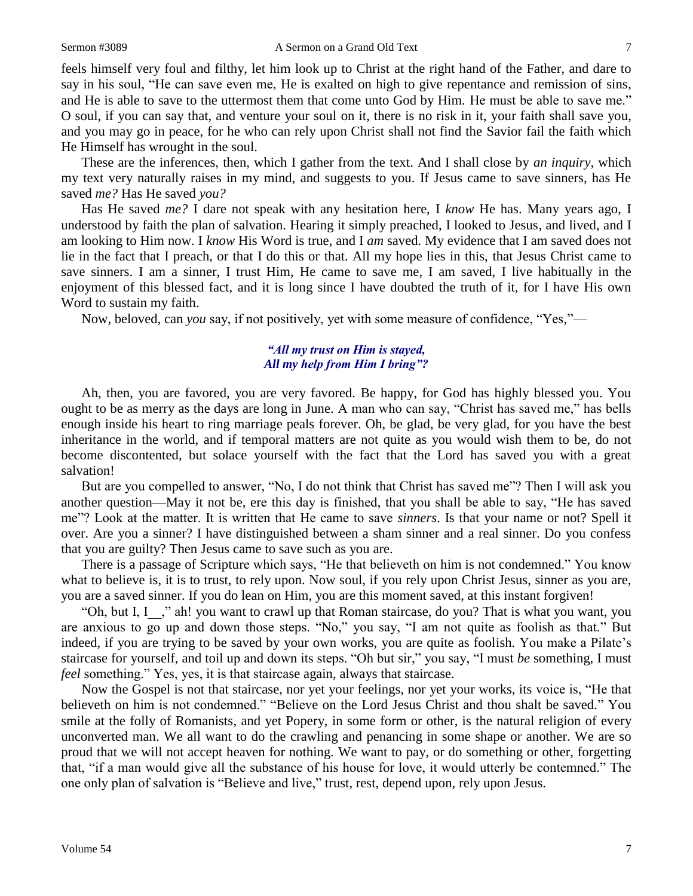feels himself very foul and filthy, let him look up to Christ at the right hand of the Father, and dare to say in his soul, "He can save even me, He is exalted on high to give repentance and remission of sins, and He is able to save to the uttermost them that come unto God by Him. He must be able to save me." O soul, if you can say that, and venture your soul on it, there is no risk in it, your faith shall save you, and you may go in peace, for he who can rely upon Christ shall not find the Savior fail the faith which He Himself has wrought in the soul.

These are the inferences, then, which I gather from the text. And I shall close by *an inquiry*, which my text very naturally raises in my mind, and suggests to you. If Jesus came to save sinners, has He saved *me?* Has He saved *you?* 

Has He saved *me?* I dare not speak with any hesitation here, I *know* He has. Many years ago, I understood by faith the plan of salvation. Hearing it simply preached, I looked to Jesus, and lived, and I am looking to Him now. I *know* His Word is true, and I *am* saved. My evidence that I am saved does not lie in the fact that I preach, or that I do this or that. All my hope lies in this, that Jesus Christ came to save sinners. I am a sinner, I trust Him, He came to save me, I am saved, I live habitually in the enjoyment of this blessed fact, and it is long since I have doubted the truth of it, for I have His own Word to sustain my faith.

Now, beloved, can *you* say, if not positively, yet with some measure of confidence, "Yes,"—

#### *"All my trust on Him is stayed, All my help from Him I bring"?*

Ah, then, you are favored, you are very favored. Be happy, for God has highly blessed you. You ought to be as merry as the days are long in June. A man who can say, "Christ has saved me," has bells enough inside his heart to ring marriage peals forever. Oh, be glad, be very glad, for you have the best inheritance in the world, and if temporal matters are not quite as you would wish them to be, do not become discontented, but solace yourself with the fact that the Lord has saved you with a great salvation!

But are you compelled to answer, "No, I do not think that Christ has saved me"? Then I will ask you another question—May it not be, ere this day is finished, that you shall be able to say, "He has saved me"? Look at the matter. It is written that He came to save *sinners*. Is that your name or not? Spell it over. Are you a sinner? I have distinguished between a sham sinner and a real sinner. Do you confess that you are guilty? Then Jesus came to save such as you are.

There is a passage of Scripture which says, "He that believeth on him is not condemned." You know what to believe is, it is to trust, to rely upon. Now soul, if you rely upon Christ Jesus, sinner as you are, you are a saved sinner. If you do lean on Him, you are this moment saved, at this instant forgiven!

"Oh, but I, I\_\_," ah! you want to crawl up that Roman staircase, do you? That is what you want, you are anxious to go up and down those steps. "No," you say, "I am not quite as foolish as that." But indeed, if you are trying to be saved by your own works, you are quite as foolish. You make a Pilate's staircase for yourself, and toil up and down its steps. "Oh but sir," you say, "I must *be* something, I must *feel* something." Yes, yes, it is that staircase again, always that staircase.

Now the Gospel is not that staircase, nor yet your feelings, nor yet your works, its voice is, "He that believeth on him is not condemned." "Believe on the Lord Jesus Christ and thou shalt be saved." You smile at the folly of Romanists, and yet Popery, in some form or other, is the natural religion of every unconverted man. We all want to do the crawling and penancing in some shape or another. We are so proud that we will not accept heaven for nothing. We want to pay, or do something or other, forgetting that, "if a man would give all the substance of his house for love, it would utterly be contemned." The one only plan of salvation is "Believe and live," trust, rest, depend upon, rely upon Jesus.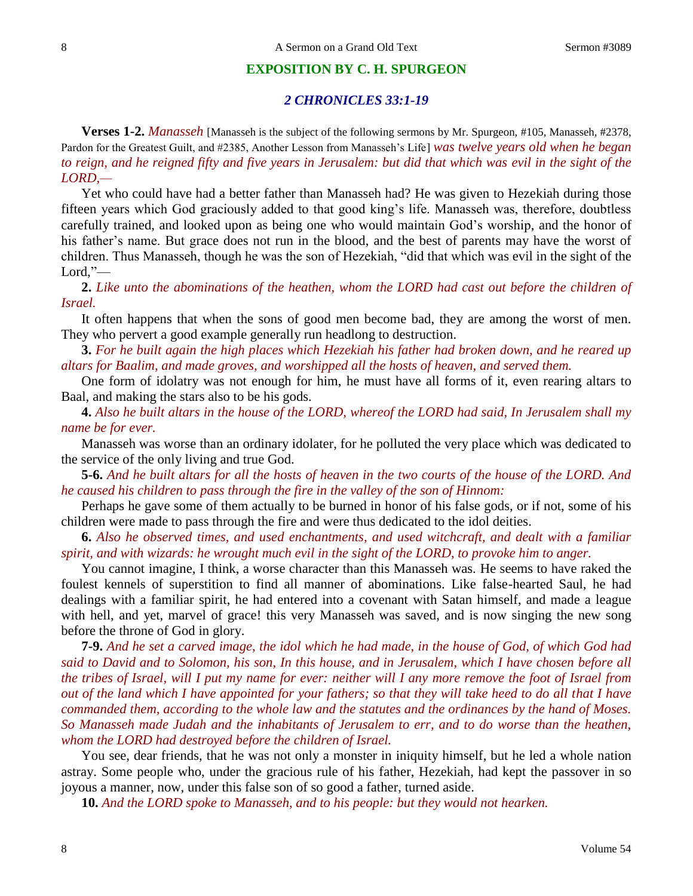#### **EXPOSITION BY C. H. SPURGEON**

#### *2 CHRONICLES 33:1-19*

**Verses 1-2.** *Manasseh* [Manasseh is the subject of the following sermons by Mr. Spurgeon, #105, Manasseh, #2378, Pardon for the Greatest Guilt, and #2385, Another Lesson from Manasseh's Life] *was twelve years old when he began to reign, and he reigned fifty and five years in Jerusalem: but did that which was evil in the sight of the LORD,—*

Yet who could have had a better father than Manasseh had? He was given to Hezekiah during those fifteen years which God graciously added to that good king's life. Manasseh was, therefore, doubtless carefully trained, and looked upon as being one who would maintain God's worship, and the honor of his father's name. But grace does not run in the blood, and the best of parents may have the worst of children. Thus Manasseh, though he was the son of Hezekiah, "did that which was evil in the sight of the  $Lord, ?$ —

**2.** *Like unto the abominations of the heathen, whom the LORD had cast out before the children of Israel.*

It often happens that when the sons of good men become bad, they are among the worst of men. They who pervert a good example generally run headlong to destruction.

**3.** *For he built again the high places which Hezekiah his father had broken down, and he reared up altars for Baalim, and made groves, and worshipped all the hosts of heaven, and served them.*

One form of idolatry was not enough for him, he must have all forms of it, even rearing altars to Baal, and making the stars also to be his gods.

**4.** *Also he built altars in the house of the LORD, whereof the LORD had said, In Jerusalem shall my name be for ever.*

Manasseh was worse than an ordinary idolater, for he polluted the very place which was dedicated to the service of the only living and true God.

**5-6.** *And he built altars for all the hosts of heaven in the two courts of the house of the LORD. And he caused his children to pass through the fire in the valley of the son of Hinnom:*

Perhaps he gave some of them actually to be burned in honor of his false gods, or if not, some of his children were made to pass through the fire and were thus dedicated to the idol deities.

**6.** *Also he observed times, and used enchantments, and used witchcraft, and dealt with a familiar spirit, and with wizards: he wrought much evil in the sight of the LORD, to provoke him to anger.*

You cannot imagine, I think, a worse character than this Manasseh was. He seems to have raked the foulest kennels of superstition to find all manner of abominations. Like false-hearted Saul, he had dealings with a familiar spirit, he had entered into a covenant with Satan himself, and made a league with hell, and yet, marvel of grace! this very Manasseh was saved, and is now singing the new song before the throne of God in glory.

**7-9.** *And he set a carved image, the idol which he had made, in the house of God, of which God had said to David and to Solomon, his son, In this house, and in Jerusalem, which I have chosen before all the tribes of Israel, will I put my name for ever: neither will I any more remove the foot of Israel from out of the land which I have appointed for your fathers; so that they will take heed to do all that I have commanded them, according to the whole law and the statutes and the ordinances by the hand of Moses. So Manasseh made Judah and the inhabitants of Jerusalem to err, and to do worse than the heathen, whom the LORD had destroyed before the children of Israel.*

You see, dear friends, that he was not only a monster in iniquity himself, but he led a whole nation astray. Some people who, under the gracious rule of his father, Hezekiah, had kept the passover in so joyous a manner, now, under this false son of so good a father, turned aside.

**10.** *And the LORD spoke to Manasseh, and to his people: but they would not hearken.*